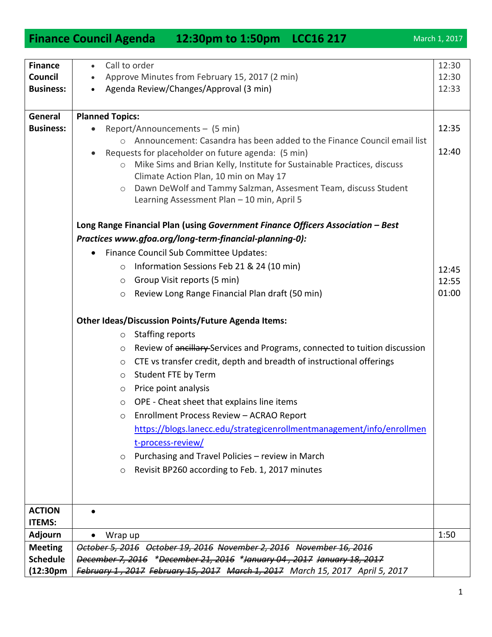1

| <b>Finance</b>         | Call to order<br>$\bullet$                                                                              | 12:30 |
|------------------------|---------------------------------------------------------------------------------------------------------|-------|
| Council                | Approve Minutes from February 15, 2017 (2 min)<br>$\bullet$                                             | 12:30 |
| <b>Business:</b>       | Agenda Review/Changes/Approval (3 min)                                                                  | 12:33 |
|                        |                                                                                                         |       |
| General                | <b>Planned Topics:</b>                                                                                  |       |
| <b>Business:</b>       | Report/Announcements - (5 min)                                                                          | 12:35 |
|                        | Announcement: Casandra has been added to the Finance Council email list<br>$\bigcirc$                   |       |
|                        | Requests for placeholder on future agenda: (5 min)                                                      | 12:40 |
|                        | Mike Sims and Brian Kelly, Institute for Sustainable Practices, discuss<br>$\circ$                      |       |
|                        | Climate Action Plan, 10 min on May 17<br>Dawn DeWolf and Tammy Salzman, Assesment Team, discuss Student |       |
|                        | $\circ$<br>Learning Assessment Plan - 10 min, April 5                                                   |       |
|                        |                                                                                                         |       |
|                        | Long Range Financial Plan (using Government Finance Officers Association - Best                         |       |
|                        | Practices www.gfoa.org/long-term-financial-planning-0):                                                 |       |
|                        | Finance Council Sub Committee Updates:                                                                  |       |
|                        | Information Sessions Feb 21 & 24 (10 min)<br>$\circ$                                                    | 12:45 |
|                        | Group Visit reports (5 min)<br>$\circ$                                                                  | 12:55 |
|                        | Review Long Range Financial Plan draft (50 min)<br>$\circ$                                              | 01:00 |
|                        | <b>Other Ideas/Discussion Points/Future Agenda Items:</b>                                               |       |
|                        |                                                                                                         |       |
|                        | <b>Staffing reports</b><br>$\circ$                                                                      |       |
|                        | Review of ancillary-Services and Programs, connected to tuition discussion<br>$\circ$                   |       |
|                        | CTE vs transfer credit, depth and breadth of instructional offerings<br>$\circ$                         |       |
|                        | Student FTE by Term<br>$\circ$                                                                          |       |
|                        | Price point analysis<br>$\circ$                                                                         |       |
|                        | OPE - Cheat sheet that explains line items<br>$\circ$                                                   |       |
|                        | Enrollment Process Review - ACRAO Report<br>$\cap$                                                      |       |
|                        | https://blogs.lanecc.edu/strategicenrollmentmanagement/info/enrollmen                                   |       |
|                        | t-process-review/                                                                                       |       |
|                        | Purchasing and Travel Policies - review in March<br>O                                                   |       |
|                        | Revisit BP260 according to Feb. 1, 2017 minutes<br>$\circ$                                              |       |
|                        |                                                                                                         |       |
|                        |                                                                                                         |       |
| <b>ACTION</b>          |                                                                                                         |       |
| <b>ITEMS:</b>          |                                                                                                         |       |
| <b>Adjourn</b>         | Wrap up                                                                                                 | 1:50  |
| <b>Meeting</b>         | October 5, 2016 October 19, 2016 November 2, 2016 November 16, 2016                                     |       |
| <b>Schedule</b>        | December 7, 2016 *December 21, 2016 *January 04, 2017 January 18, 2017                                  |       |
| (12:30 <sub>pm</sub> ) | February 1, 2017 February 15, 2017 March 1, 2017 March 15, 2017 April 5, 2017                           |       |

**Finance Council Agenda 12:30pm to 1:50pm LCC16 217** March 1, 2017